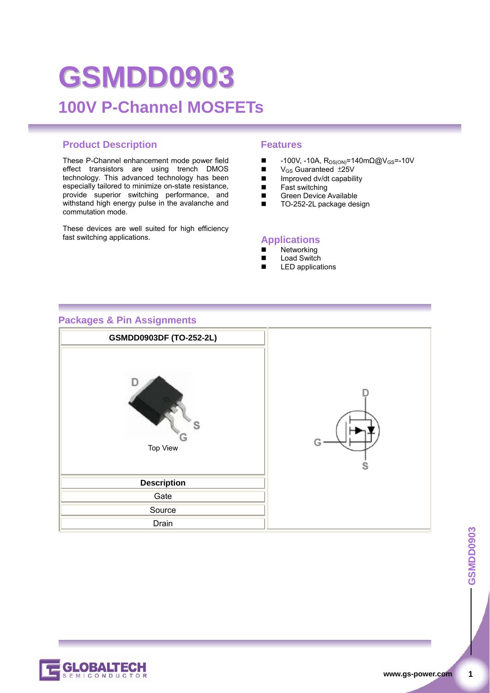# **GSMDD0903 100V P-Channel MOSFETs**

#### **Product Description Features**

These P-Channel enhancement mode power field effect transistors are using trench DMOS technology. This advanced technology has been especially tailored to minimize on-state resistance, provide superior switching performance, and withstand high energy pulse in the avalanche and commutation mode.

These devices are well suited for high efficiency fast switching applications.

- $\blacksquare$  -100V, -10A, R<sub>DS(ON)</sub>=140mΩ@V<sub>GS</sub>=-10V
- $V_{GS}$  Guaranteed  $\pm 25V$
- Improved dv/dt capability
- $\blacksquare$  Fast switching<br> $\blacksquare$  Green Device
- Green Device Available<br>TO-252-2L package des
- TO-252-2L package design

#### **Applications**

- Networking
- Load Switch
- LED applications

#### **Packages & Pin Assignments**



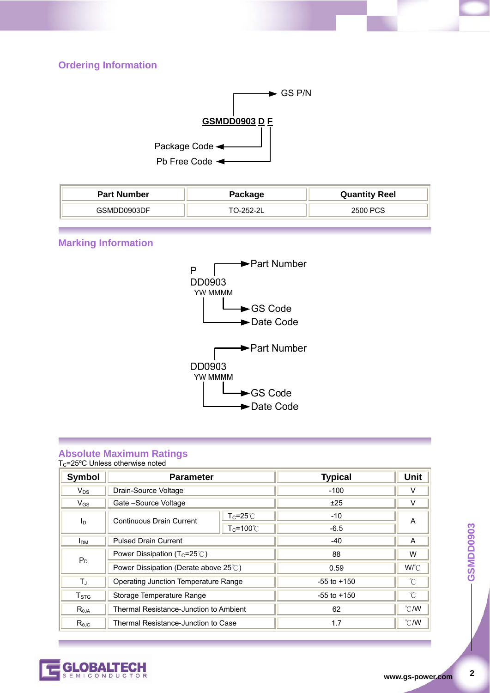#### **Ordering Information**



| <b>Part Number</b> | Package   | <b>Quantity Reel</b> |
|--------------------|-----------|----------------------|
| GSMDD0903DF        | TO-252-2L | 2500 PCS             |

#### **Marking Information**



#### **Absolute Maximum Ratings**

 $T<sub>C</sub>=25°C$  Unless otherwise noted

| <b>Symbol</b>    | <b>Parameter</b>                               |                     | <b>Typical</b>  | <b>Unit</b>   |
|------------------|------------------------------------------------|---------------------|-----------------|---------------|
| $V_{DS}$         | Drain-Source Voltage                           |                     | $-100$          |               |
| $V_{GS}$         | Gate -Source Voltage                           |                     | ±25             | v             |
| ΙD               | Continuous Drain Current                       | $T_c = 25^\circ C$  | $-10$           | A             |
|                  |                                                | $T_c = 100^{\circ}$ | $-6.5$          |               |
| I <sub>DM</sub>  | <b>Pulsed Drain Current</b>                    |                     | $-40$           | A             |
| $P_D$            | Power Dissipation ( $T_c = 25^\circ\text{C}$ ) |                     | 88              | W             |
|                  | Power Dissipation (Derate above 25°C)          |                     | 0.59            | W/°C          |
| Τ,               | Operating Junction Temperature Range           |                     | $-55$ to $+150$ | °C            |
| T <sub>STG</sub> | Storage Temperature Range                      |                     | $-55$ to $+150$ | °C            |
| $R_{\theta$ JA   | Thermal Resistance-Junction to Ambient         |                     | 62              | $\degree$ C/W |
| $R_{0,IC}$       | Thermal Resistance-Junction to Case            |                     | 1.7             | $\degree$ C/W |

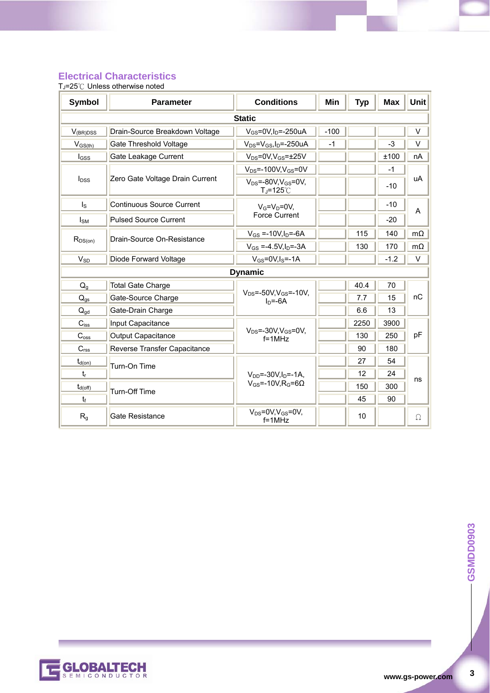#### **Electrical Characteristics**

TJ=25℃ Unless otherwise noted

| <b>Symbol</b>             | <b>Parameter</b>                 | <b>Conditions</b>                                           | Min    | <b>Typ</b> | <b>Max</b> | <b>Unit</b> |  |
|---------------------------|----------------------------------|-------------------------------------------------------------|--------|------------|------------|-------------|--|
| <b>Static</b>             |                                  |                                                             |        |            |            |             |  |
| $V_{(BR)DSS}$             | Drain-Source Breakdown Voltage   | $V_{GS}$ =0V,I <sub>D</sub> =-250uA                         | $-100$ |            |            | V           |  |
| $V_{GS(th)}$              | <b>Gate Threshold Voltage</b>    | $V_{DS} = V_{GS}$ , I <sub>D</sub> =-250uA                  | $-1$   |            | $-3$       | V           |  |
| $I_{GSS}$                 | Gate Leakage Current             | $V_{DS} = 0V$ , $V_{GS} = \pm 25V$                          |        |            | ±100       | nA          |  |
|                           |                                  | $V_{DS}$ =-100V, $V_{GS}$ =0V                               |        |            | $-1$       | uA          |  |
| <b>l</b> <sub>DSS</sub>   | Zero Gate Voltage Drain Current  | $V_{DS}$ =-80V, $V_{GS}$ =0V,<br>$T_J = 125^\circ \text{C}$ |        |            | $-10$      |             |  |
| $\mathsf{I}_\mathsf{S}$   | <b>Continuous Source Current</b> | $V_G=V_D=0V$                                                |        |            | $-10$      | A           |  |
| $I_{SM}$                  | <b>Pulsed Source Current</b>     | <b>Force Current</b>                                        |        |            | $-20$      |             |  |
|                           | Drain-Source On-Resistance       | $V_{GS} = -10V, I_D = -6A$                                  |        | 115        | 140        | $m\Omega$   |  |
| $R_{DS(on)}$              |                                  | $V_{GS} = -4.5V, I_D = -3A$                                 |        | 130        | 170        | $m\Omega$   |  |
| $V_{SD}$                  | Diode Forward Voltage            | $V_{GS}$ =0V,I <sub>S</sub> =-1A                            |        |            | $-1.2$     | V           |  |
|                           |                                  | <b>Dynamic</b>                                              |        |            |            |             |  |
| $Q_q$                     | <b>Total Gate Charge</b>         |                                                             |        | 40.4       | 70         |             |  |
| $Q_{gs}$                  | Gate-Source Charge               | $V_{DS} = -50V, V_{GS} = -10V,$<br>$In=-6A$                 |        | 7.7        | 15         | nC          |  |
| $Q_{\text{qd}}$           | Gate-Drain Charge                |                                                             |        | 6.6        | 13         |             |  |
| $C_{iss}$                 | Input Capacitance                |                                                             |        | 2250       | 3900       |             |  |
| $C_{\text{oss}}$          | Output Capacitance               | $V_{DS}$ =-30V, $V_{GS}$ =0V,<br>$f = 1MHz$                 |        | 130        | 250        | pF          |  |
| $C_{rss}$                 | Reverse Transfer Capacitance     |                                                             |        | 90         | 180        |             |  |
| $t_{d(on)}$               | Turn-On Time                     |                                                             |        | 27         | 54         |             |  |
| $t_{\rm r}$               |                                  | $V_{DD} = -30V I_{D} = -1A$ .                               |        | 12         | 24         | ns          |  |
| $t_{d(off)}$              | <b>Turn-Off Time</b>             | $V_{GS} = -10V.R_G = 6\Omega$                               |        | 150        | 300        |             |  |
| $t_{\rm f}$               |                                  |                                                             |        | 45         | 90         |             |  |
| $\mathsf{R}_{\mathsf{g}}$ | <b>Gate Resistance</b>           | $V_{DS} = 0V, V_{GS} = 0V,$<br>$f = 1MHz$                   |        | 10         |            | Ω           |  |



 $\mathbf{3}$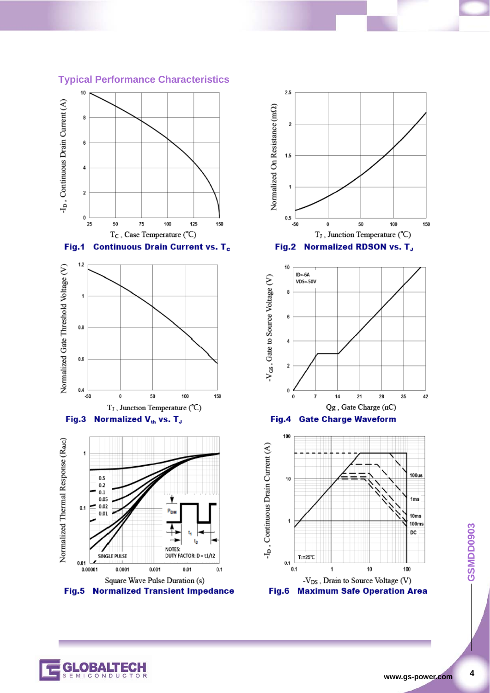

T<sub>J</sub>, Junction Temperature (°C)

**NOTES** 

 $0.001$ 

Square Wave Pulse Duration (s)

Fig.5 Normalized Transient Impedance

DUTY FACTOR: D = t1/t2

 $0.1$ 

 $0.01$ 

Fig.3 Normalized Vth vs. T<sub>J</sub>

Normalized Thermal Response (Rac)

 $\overline{1}$ 

 $0.1$ 

 $0.01$ 

0.00001

 $0.5$ 

 $0.2$  $0.1$  $0.05$ 

 $0.02$ 

 $0.01$ 

**SINGLE PULSE** 

CONDUC

 $0.0001$ 

#### **Typical Performance Characteristics**











 $\overline{\mathbf{4}}$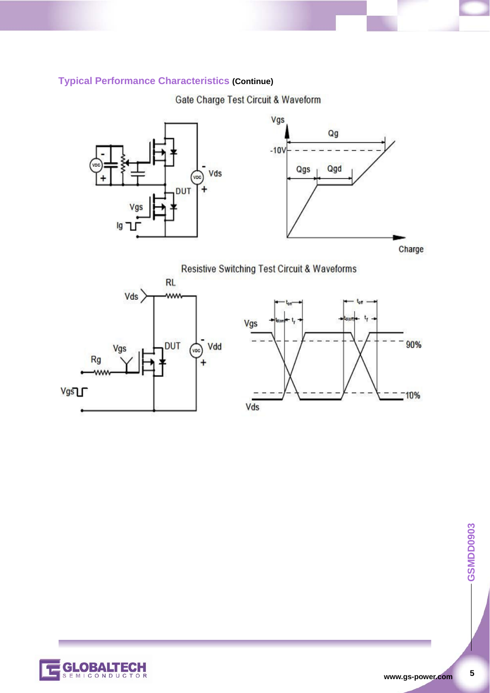### **Typical Performance Characteristics (Continue)**

Gate Charge Test Circuit & Waveform



Resistive Switching Test Circuit & Waveforms





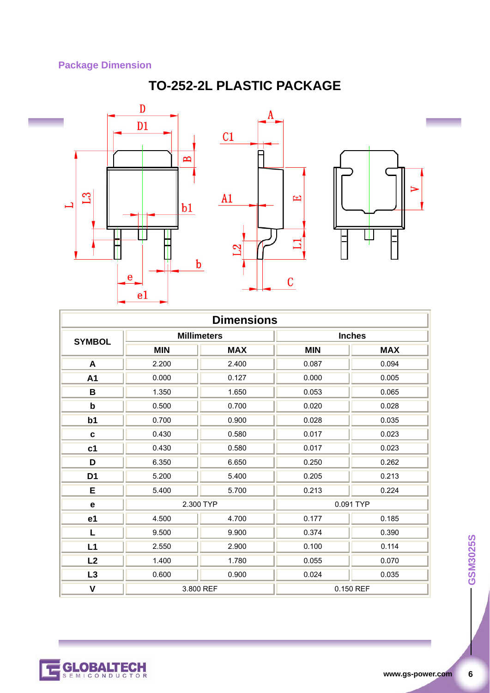### **Package Dimension**

## **TO-252-2L PLASTIC PACKAGE**



|                |            | <b>Millimeters</b> |            | <b>Inches</b> |
|----------------|------------|--------------------|------------|---------------|
| <b>SYMBOL</b>  | <b>MIN</b> | <b>MAX</b>         | <b>MIN</b> | <b>MAX</b>    |
| A              | 2.200      | 2.400              | 0.087      | 0.094         |
| A1             | 0.000      | 0.127              | 0.000      | 0.005         |
| В              | 1.350      | 1.650              | 0.053      | 0.065         |
| $\mathbf b$    | 0.500      | 0.700              | 0.020      | 0.028         |
| b <sub>1</sub> | 0.700      | 0.900              | 0.028      | 0.035         |
| $\mathbf{c}$   | 0.430      | 0.580              | 0.017      | 0.023         |
| c <sub>1</sub> | 0.430      | 0.580              | 0.017      | 0.023         |
| D              | 6.350      | 6.650              | 0.250      | 0.262         |
| D <sub>1</sub> | 5.200      | 5.400              | 0.205      | 0.213         |
| E              | 5.400      | 5.700              | 0.213      | 0.224         |
| $\mathbf e$    |            | 2.300 TYP          |            | 0.091 TYP     |
| e1             | 4.500      | 4.700              | 0.177      | 0.185         |
| L              | 9.500      | 9.900              | 0.374      | 0.390         |
| L1             | 2.550      | 2.900              | 0.100      | 0.114         |
| L2             | 1.400      | 1.780              | 0.055      | 0.070         |
| L3             | 0.600      | 0.900              | 0.024      | 0.035         |
| V              |            | 3.800 REF          |            | 0.150 REF     |

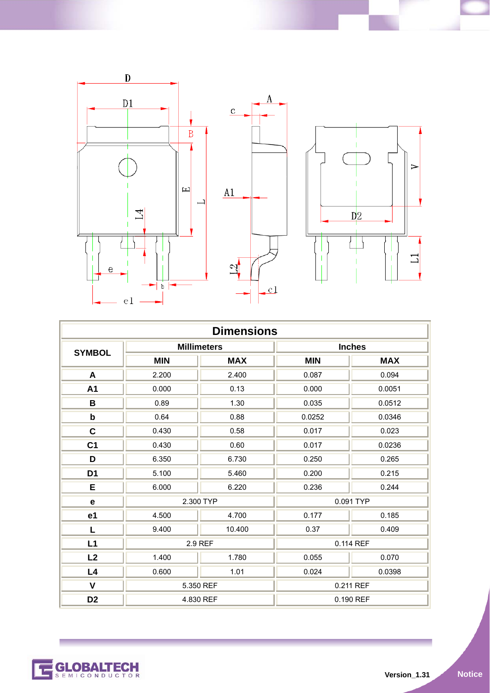

| <b>Dimensions</b> |            |                    |               |            |
|-------------------|------------|--------------------|---------------|------------|
| <b>SYMBOL</b>     |            | <b>Millimeters</b> | <b>Inches</b> |            |
|                   | <b>MIN</b> | <b>MAX</b>         | <b>MIN</b>    | <b>MAX</b> |
| A                 | 2.200      | 2.400              | 0.087         | 0.094      |
| A1                | 0.000      | 0.13               | 0.000         | 0.0051     |
| B                 | 0.89       | 1.30               | 0.035         | 0.0512     |
| b                 | 0.64       | 0.88               | 0.0252        | 0.0346     |
| $\mathbf c$       | 0.430      | 0.58               | 0.017         | 0.023      |
| C <sub>1</sub>    | 0.430      | 0.60               | 0.017         | 0.0236     |
| D                 | 6.350      | 6.730              | 0.250         | 0.265      |
| D <sub>1</sub>    | 5.100      | 5.460              | 0.200         | 0.215      |
| Е                 | 6.000      | 6.220              | 0.236         | 0.244      |
| е                 | 2.300 TYP  |                    | 0.091 TYP     |            |
| e1                | 4.500      | 4.700              | 0.177         | 0.185      |
| L                 | 9.400      | 10.400             | 0.37          | 0.409      |
| L1                | 2.9 REF    |                    |               | 0.114 REF  |
| L2                | 1.400      | 1.780              | 0.055         | 0.070      |
| L4                | 0.600      | 1.01               | 0.024         | 0.0398     |
| $\mathsf{V}$      |            | 5.350 REF          |               | 0.211 REF  |
| D <sub>2</sub>    |            | 4.830 REF          |               | 0.190 REF  |

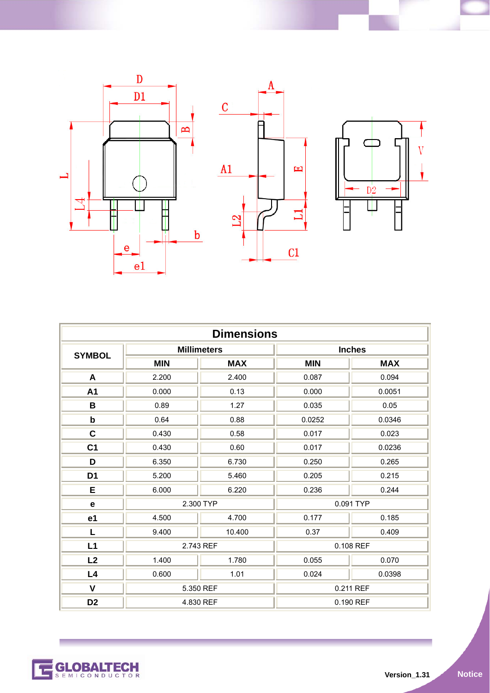



| <b>Dimensions</b> |            |                    |            |               |
|-------------------|------------|--------------------|------------|---------------|
| <b>SYMBOL</b>     |            | <b>Millimeters</b> |            | <b>Inches</b> |
|                   | <b>MIN</b> | <b>MAX</b>         | <b>MIN</b> | <b>MAX</b>    |
| A                 | 2.200      | 2.400              | 0.087      | 0.094         |
| A1                | 0.000      | 0.13               | 0.000      | 0.0051        |
| B                 | 0.89       | 1.27               | 0.035      | 0.05          |
| $\mathbf b$       | 0.64       | 0.88               | 0.0252     | 0.0346        |
| C                 | 0.430      | 0.58               | 0.017      | 0.023         |
| C <sub>1</sub>    | 0.430      | 0.60               | 0.017      | 0.0236        |
| D                 | 6.350      | 6.730              | 0.250      | 0.265         |
| D <sub>1</sub>    | 5.200      | 5.460              | 0.205      | 0.215         |
| Е                 | 6.000      | 6.220              | 0.236      | 0.244         |
| е                 | 2.300 TYP  |                    | 0.091 TYP  |               |
| e <sub>1</sub>    | 4.500      | 4.700              | 0.177      | 0.185         |
| L                 | 9.400      | 10.400             | 0.37       | 0.409         |
| L1                | 2.743 REF  |                    |            | 0.108 REF     |
| L2                | 1.400      | 1.780              | 0.055      | 0.070         |
| L4                | 0.600      | 1.01               | 0.024      | 0.0398        |
| $\mathbf v$       |            | 5.350 REF          |            | 0.211 REF     |
| D <sub>2</sub>    |            | 4.830 REF          |            | 0.190 REF     |